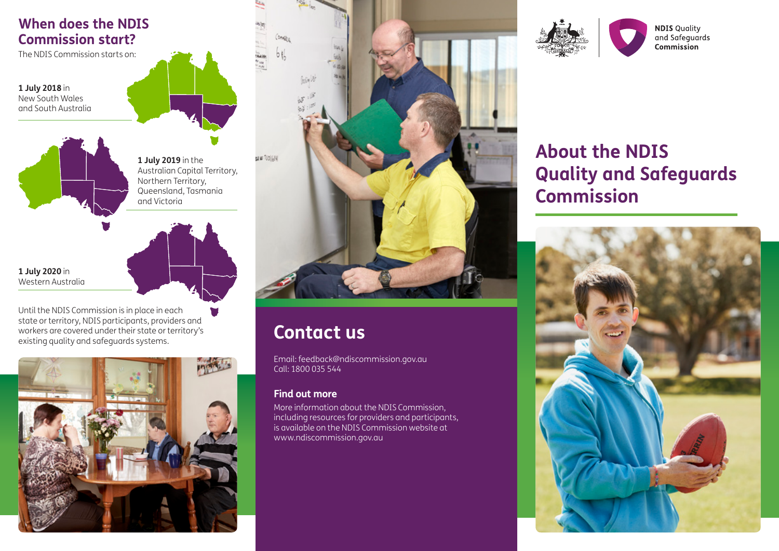# **When does the NDIS Commission start?**

The NDIS Commission starts on:

**1 July 2018** in New South Wales and South Australia



**1 July 2019** in the Australian Capital Territory, Northern Territory, Queensland, Tasmania and Victoria

**1 July 2020** in Western Australia

Until the NDIS Commission is in place in each state or territory, NDIS participants, providers and workers are covered under their state or territory's existing quality and safeguards systems.





# **Contact us**

Email: feedback@ndiscommission.gov.au Call: 1800 035 544

## **Find out more**

More information about the NDIS Commission, including resources for providers and participants, is available on the NDIS Commission website at www.ndiscommission.gov.au





# **About the NDIS Quality and Safeguards Commission**